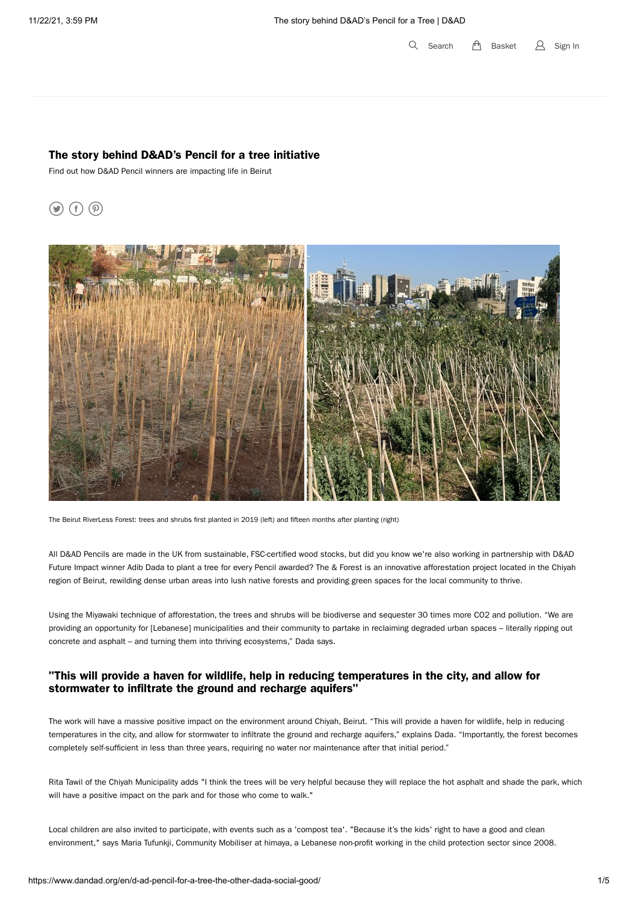$Q$  Search  $f \uparrow$  Basket  $\beta$  Sign In

#### The story behind D&AD's Pencil for a tree initiative

Find out how D&AD Pencil winners are impacting life in Beirut

# $\circledcirc$  (f)  $\circledcirc$



The Beirut RiverLess Forest: trees and shrubs first planted in 2019 (left) and fifteen months after planting (right)

All D&AD Pencils are made in the UK from sustainable, FSC-certified wood stocks, but did you know we're also working in partnership with D&AD Future Impact winner Adib Dada to plant a tree for every Pencil awarded? The & Forest is an innovative afforestation project located in the Chiyah region of Beirut, rewilding dense urban areas into lush native forests and providing green spaces for the local community to thrive.

Using the Miyawaki technique of afforestation, the trees and shrubs will be biodiverse and sequester 30 times more CO2 and pollution. "We are providing an opportunity for [Lebanese] municipalities and their community to partake in reclaiming degraded urban spaces – literally ripping out concrete and asphalt – and turning them into thriving ecosystems," Dada says.

### "This will provide a haven for wildlife, help in reducing temperatures in the city, and allow for stormwater to infiltrate the ground and recharge aquifers"

The work will have a massive positive impact on the environment around Chiyah, Beirut. "This will provide a haven for wildlife, help in reducing temperatures in the city, and allow for stormwater to infiltrate the ground and recharge aquifers," explains Dada. "Importantly, the forest becomes completely self-sufficient in less than three years, requiring no water nor maintenance after that initial period."

Rita Tawil of the Chiyah Municipality adds "I think the trees will be very helpful because they will replace the hot asphalt and shade the park, which will have a positive impact on the park and for those who come to walk."

Local children are also invited to participate, with events such as a 'compost tea'. "Because it's the kids' right to have a good and clean environment," says Maria Tufunkji, Community Mobiliser at himaya, a Lebanese non-profit working in the child protection sector since 2008.